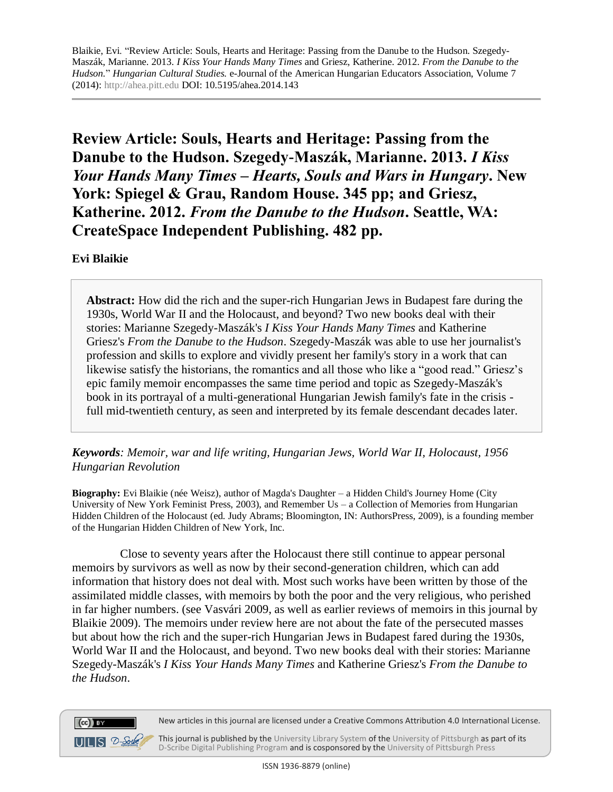**Review Article: Souls, Hearts and Heritage: Passing from the Danube to the Hudson. Szegedy-Maszák, Marianne. 2013.** *I Kiss Your Hands Many Times – Hearts, Souls and Wars in Hungary***. New York: Spiegel & Grau, Random House. 345 pp; and Griesz, Katherine. 2012.** *From the Danube to the Hudson***. Seattle, WA: CreateSpace Independent Publishing. 482 pp.**

**Evi Blaikie**

 $(cc)$  BY

 $UILS 2-<sub>Schk</sub>$ 

**Abstract:** How did the rich and the super-rich Hungarian Jews in Budapest fare during the 1930s, World War II and the Holocaust, and beyond? Two new books deal with their stories: Marianne Szegedy-Maszák's *I Kiss Your Hands Many Times* and Katherine Griesz's *From the Danube to the Hudson*. Szegedy-Maszák was able to use her journalist's profession and skills to explore and vividly present her family's story in a work that can likewise satisfy the historians, the romantics and all those who like a "good read." Griesz's epic family memoir encompasses the same time period and topic as Szegedy-Maszák's book in its portrayal of a multi-generational Hungarian Jewish family's fate in the crisis full mid-twentieth century, as seen and interpreted by its female descendant decades later.

*Keywords: Memoir, war and life writing, Hungarian Jews, World War II, Holocaust, 1956 Hungarian Revolution*

**Biography:** Evi Blaikie (née Weisz), author of Magda's Daughter – a Hidden Child's Journey Home (City University of New York Feminist Press, 2003), and Remember Us – a Collection of Memories from Hungarian Hidden Children of the Holocaust (ed. Judy Abrams; Bloomington, IN: AuthorsPress, 2009), is a founding member of the Hungarian Hidden Children of New York, Inc.

Close to seventy years after the Holocaust there still continue to appear personal memoirs by survivors as well as now by their second-generation children, which can add information that history does not deal with. Most such works have been written by those of the assimilated middle classes, with memoirs by both the poor and the very religious, who perished in far higher numbers. (see Vasvári 2009, as well as earlier reviews of memoirs in this journal by Blaikie 2009). The memoirs under review here are not about the fate of the persecuted masses but about how the rich and the super-rich Hungarian Jews in Budapest fared during the 1930s, World War II and the Holocaust, and beyond. Two new books deal with their stories: Marianne Szegedy-Maszák's *I Kiss Your Hands Many Times* and Katherine Griesz's *From the Danube to the Hudson*.



This journal is published by th[e University Library System](http://www.library.pitt.edu/) of th[e University of Pittsburgh](http://www.pitt.edu/) as part of its [D-Scribe Digital Publishing Program](http://www.library.pitt.edu/articles/digpubtype/index.html) and is cosponsored by the [University of Pittsburgh Press](http://upress.pitt.edu/)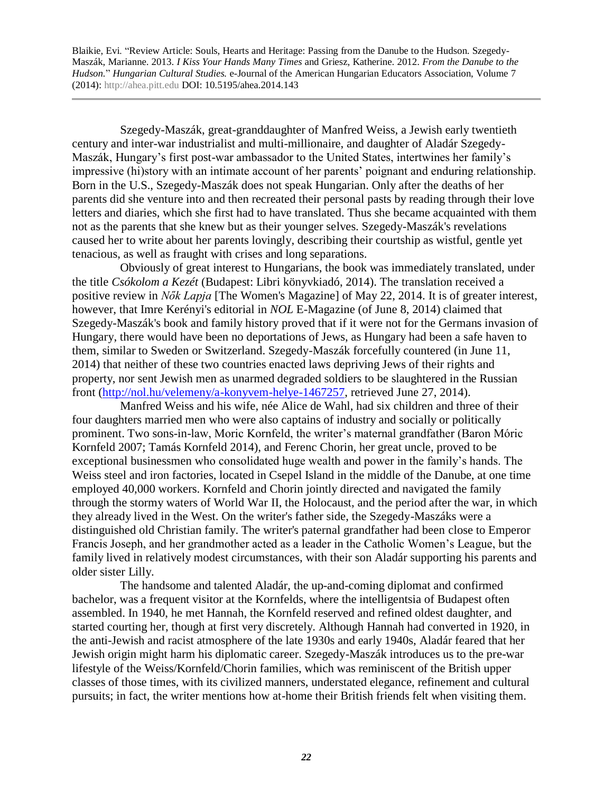Szegedy-Maszák, great-granddaughter of Manfred Weiss, a Jewish early twentieth century and inter-war industrialist and multi-millionaire, and daughter of Aladár Szegedy-Maszák, Hungary's first post-war ambassador to the United States, intertwines her family's impressive (hi)story with an intimate account of her parents' poignant and enduring relationship. Born in the U.S., Szegedy-Maszák does not speak Hungarian. Only after the deaths of her parents did she venture into and then recreated their personal pasts by reading through their love letters and diaries, which she first had to have translated. Thus she became acquainted with them not as the parents that she knew but as their younger selves. Szegedy-Maszák's revelations caused her to write about her parents lovingly, describing their courtship as wistful, gentle yet tenacious, as well as fraught with crises and long separations.

Obviously of great interest to Hungarians, the book was immediately translated, under the title *Csókolom a Kezét* (Budapest: Libri könyvkiadó, 2014). The translation received a positive review in *Nők Lapja* [The Women's Magazine] of May 22, 2014. It is of greater interest, however, that Imre Kerényi's editorial in *NOL* E-Magazine (of June 8, 2014) claimed that Szegedy-Maszák's book and family history proved that if it were not for the Germans invasion of Hungary, there would have been no deportations of Jews, as Hungary had been a safe haven to them, similar to Sweden or Switzerland. Szegedy-Maszák forcefully countered (in June 11, 2014) that neither of these two countries enacted laws depriving Jews of their rights and property, nor sent Jewish men as unarmed degraded soldiers to be slaughtered in the Russian front [\(http://nol.hu/velemeny/a-konyvem-helye-1467257,](http://nol.hu/velemeny/a-konyvem-helye-1467257) retrieved June 27, 2014).

Manfred Weiss and his wife, née Alice de Wahl, had six children and three of their four daughters married men who were also captains of industry and socially or politically prominent. Two sons-in-law, Moric Kornfeld, the writer's maternal grandfather (Baron Móric Kornfeld 2007; Tamás Kornfeld 2014), and Ferenc Chorin, her great uncle, proved to be exceptional businessmen who consolidated huge wealth and power in the family's hands. The Weiss steel and iron factories, located in Csepel Island in the middle of the Danube, at one time employed 40,000 workers. Kornfeld and Chorin jointly directed and navigated the family through the stormy waters of World War II, the Holocaust, and the period after the war, in which they already lived in the West. On the writer's father side, the Szegedy-Maszáks were a distinguished old Christian family. The writer's paternal grandfather had been close to Emperor Francis Joseph, and her grandmother acted as a leader in the Catholic Women's League, but the family lived in relatively modest circumstances, with their son Aladár supporting his parents and older sister Lilly.

The handsome and talented Aladár, the up-and-coming diplomat and confirmed bachelor, was a frequent visitor at the Kornfelds, where the intelligentsia of Budapest often assembled. In 1940, he met Hannah, the Kornfeld reserved and refined oldest daughter, and started courting her, though at first very discretely. Although Hannah had converted in 1920, in the anti-Jewish and racist atmosphere of the late 1930s and early 1940s, Aladár feared that her Jewish origin might harm his diplomatic career. Szegedy-Maszák introduces us to the pre-war lifestyle of the Weiss/Kornfeld/Chorin families, which was reminiscent of the British upper classes of those times, with its civilized manners, understated elegance, refinement and cultural pursuits; in fact, the writer mentions how at-home their British friends felt when visiting them.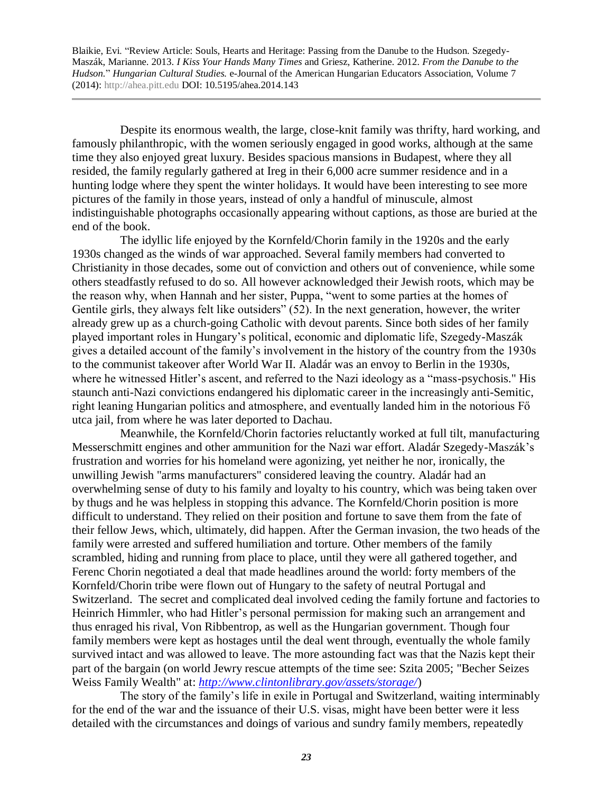Despite its enormous wealth, the large, close-knit family was thrifty, hard working, and famously philanthropic, with the women seriously engaged in good works, although at the same time they also enjoyed great luxury. Besides spacious mansions in Budapest, where they all resided, the family regularly gathered at Ireg in their 6,000 acre summer residence and in a hunting lodge where they spent the winter holidays. It would have been interesting to see more pictures of the family in those years, instead of only a handful of minuscule, almost indistinguishable photographs occasionally appearing without captions, as those are buried at the end of the book.

The idyllic life enjoyed by the Kornfeld/Chorin family in the 1920s and the early 1930s changed as the winds of war approached. Several family members had converted to Christianity in those decades, some out of conviction and others out of convenience, while some others steadfastly refused to do so. All however acknowledged their Jewish roots, which may be the reason why, when Hannah and her sister, Puppa, "went to some parties at the homes of Gentile girls, they always felt like outsiders" (52). In the next generation, however, the writer already grew up as a church-going Catholic with devout parents. Since both sides of her family played important roles in Hungary's political, economic and diplomatic life, Szegedy-Maszák gives a detailed account of the family's involvement in the history of the country from the 1930s to the communist takeover after World War II. Aladár was an envoy to Berlin in the 1930s, where he witnessed Hitler's ascent, and referred to the Nazi ideology as a "mass-psychosis." His staunch anti-Nazi convictions endangered his diplomatic career in the increasingly anti-Semitic, right leaning Hungarian politics and atmosphere, and eventually landed him in the notorious Fő utca jail, from where he was later deported to Dachau.

Meanwhile, the Kornfeld/Chorin factories reluctantly worked at full tilt, manufacturing Messerschmitt engines and other ammunition for the Nazi war effort. Aladár Szegedy-Maszák's frustration and worries for his homeland were agonizing, yet neither he nor, ironically, the unwilling Jewish "arms manufacturers" considered leaving the country. Aladár had an overwhelming sense of duty to his family and loyalty to his country, which was being taken over by thugs and he was helpless in stopping this advance. The Kornfeld/Chorin position is more difficult to understand. They relied on their position and fortune to save them from the fate of their fellow Jews, which, ultimately, did happen. After the German invasion, the two heads of the family were arrested and suffered humiliation and torture. Other members of the family scrambled, hiding and running from place to place, until they were all gathered together, and Ferenc Chorin negotiated a deal that made headlines around the world: forty members of the Kornfeld/Chorin tribe were flown out of Hungary to the safety of neutral Portugal and Switzerland. The secret and complicated deal involved ceding the family fortune and factories to Heinrich Himmler, who had Hitler's personal permission for making such an arrangement and thus enraged his rival, Von Ribbentrop, as well as the Hungarian government. Though four family members were kept as hostages until the deal went through, eventually the whole family survived intact and was allowed to leave. The more astounding fact was that the Nazis kept their part of the bargain (on world Jewry rescue attempts of the time see: Szita 2005; "Becher Seizes Weiss Family Wealth" at: *<http://www.clintonlibrary.gov/assets/storage/>*)

The story of the family's life in exile in Portugal and Switzerland, waiting interminably for the end of the war and the issuance of their U.S. visas, might have been better were it less detailed with the circumstances and doings of various and sundry family members, repeatedly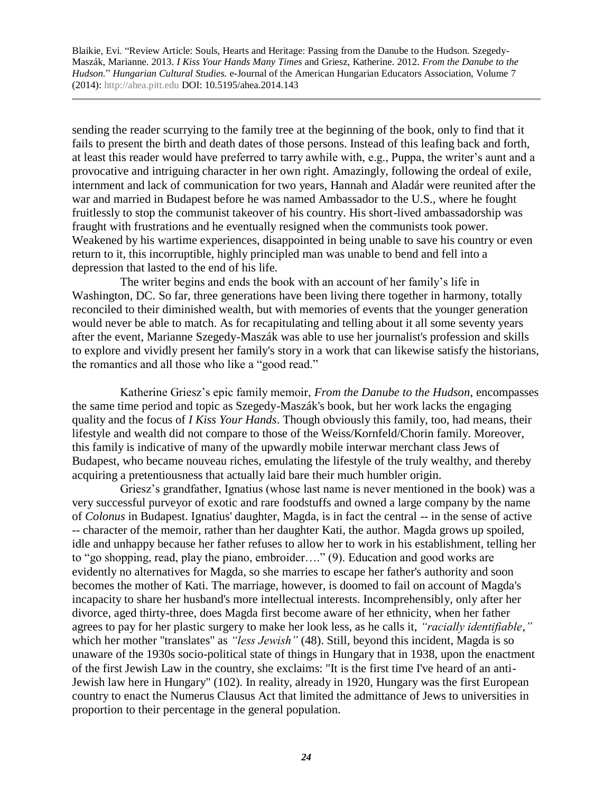sending the reader scurrying to the family tree at the beginning of the book, only to find that it fails to present the birth and death dates of those persons. Instead of this leafing back and forth, at least this reader would have preferred to tarry awhile with, e.g., Puppa, the writer's aunt and a provocative and intriguing character in her own right. Amazingly, following the ordeal of exile, internment and lack of communication for two years, Hannah and Aladár were reunited after the war and married in Budapest before he was named Ambassador to the U.S., where he fought fruitlessly to stop the communist takeover of his country. His short-lived ambassadorship was fraught with frustrations and he eventually resigned when the communists took power. Weakened by his wartime experiences, disappointed in being unable to save his country or even return to it, this incorruptible, highly principled man was unable to bend and fell into a depression that lasted to the end of his life.

The writer begins and ends the book with an account of her family's life in Washington, DC. So far, three generations have been living there together in harmony, totally reconciled to their diminished wealth, but with memories of events that the younger generation would never be able to match. As for recapitulating and telling about it all some seventy years after the event, Marianne Szegedy-Maszák was able to use her journalist's profession and skills to explore and vividly present her family's story in a work that can likewise satisfy the historians, the romantics and all those who like a "good read."

Katherine Griesz's epic family memoir, *From the Danube to the Hudson*, encompasses the same time period and topic as Szegedy-Maszák's book, but her work lacks the engaging quality and the focus of *I Kiss Your Hands*. Though obviously this family, too, had means, their lifestyle and wealth did not compare to those of the Weiss/Kornfeld/Chorin family. Moreover, this family is indicative of many of the upwardly mobile interwar merchant class Jews of Budapest, who became nouveau riches, emulating the lifestyle of the truly wealthy, and thereby acquiring a pretentiousness that actually laid bare their much humbler origin.

Griesz's grandfather, Ignatius (whose last name is never mentioned in the book) was a very successful purveyor of exotic and rare foodstuffs and owned a large company by the name of *Colonus* in Budapest. Ignatius' daughter, Magda, is in fact the central -- in the sense of active -- character of the memoir, rather than her daughter Kati, the author. Magda grows up spoiled, idle and unhappy because her father refuses to allow her to work in his establishment, telling her to "go shopping, read, play the piano, embroider…." (9). Education and good works are evidently no alternatives for Magda, so she marries to escape her father's authority and soon becomes the mother of Kati. The marriage, however, is doomed to fail on account of Magda's incapacity to share her husband's more intellectual interests. Incomprehensibly, only after her divorce, aged thirty-three, does Magda first become aware of her ethnicity, when her father agrees to pay for her plastic surgery to make her look less, as he calls it, *"racially identifiable*,*"*  which her mother "translates" as *"less Jewish"* (48). Still, beyond this incident, Magda is so unaware of the 1930s socio-political state of things in Hungary that in 1938, upon the enactment of the first Jewish Law in the country, she exclaims: "It is the first time I've heard of an anti-Jewish law here in Hungary" (102). In reality, already in 1920, Hungary was the first European country to enact the Numerus Clausus Act that limited the admittance of Jews to universities in proportion to their percentage in the general population.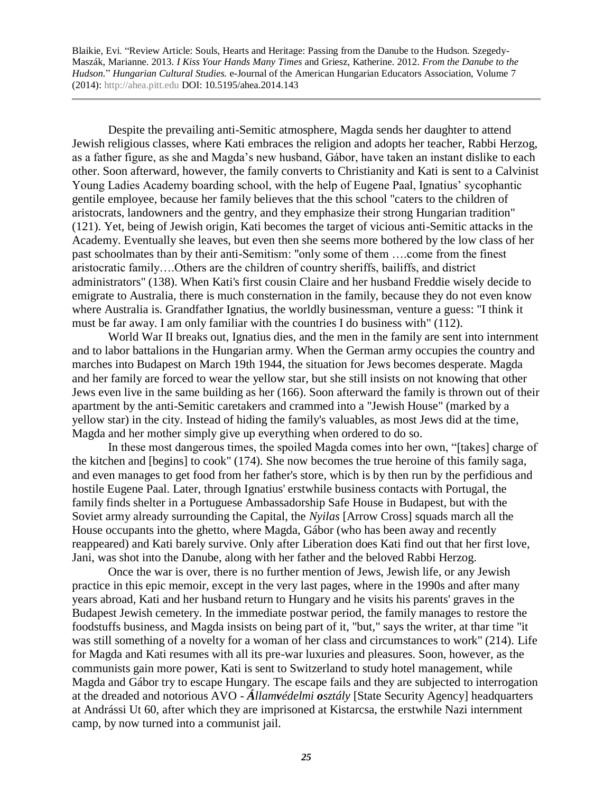Despite the prevailing anti-Semitic atmosphere, Magda sends her daughter to attend Jewish religious classes, where Kati embraces the religion and adopts her teacher, Rabbi Herzog, as a father figure, as she and Magda's new husband, Gábor, have taken an instant dislike to each other. Soon afterward, however, the family converts to Christianity and Kati is sent to a Calvinist Young Ladies Academy boarding school, with the help of Eugene Paal, Ignatius' sycophantic gentile employee, because her family believes that the this school "caters to the children of aristocrats, landowners and the gentry, and they emphasize their strong Hungarian tradition" (121). Yet, being of Jewish origin, Kati becomes the target of vicious anti-Semitic attacks in the Academy. Eventually she leaves, but even then she seems more bothered by the low class of her past schoolmates than by their anti-Semitism: "only some of them ….come from the finest aristocratic family….Others are the children of country sheriffs, bailiffs, and district administrators" (138). When Kati's first cousin Claire and her husband Freddie wisely decide to emigrate to Australia, there is much consternation in the family, because they do not even know where Australia is. Grandfather Ignatius, the worldly businessman, venture a guess: "I think it must be far away. I am only familiar with the countries I do business with" (112).

World War II breaks out, Ignatius dies, and the men in the family are sent into internment and to labor battalions in the Hungarian army. When the German army occupies the country and marches into Budapest on March 19th 1944, the situation for Jews becomes desperate. Magda and her family are forced to wear the yellow star, but she still insists on not knowing that other Jews even live in the same building as her (166). Soon afterward the family is thrown out of their apartment by the anti-Semitic caretakers and crammed into a "Jewish House" (marked by a yellow star) in the city. Instead of hiding the family's valuables, as most Jews did at the time, Magda and her mother simply give up everything when ordered to do so.

In these most dangerous times, the spoiled Magda comes into her own, "[takes] charge of the kitchen and [begins] to cook" (174). She now becomes the true heroine of this family saga, and even manages to get food from her father's store, which is by then run by the perfidious and hostile Eugene Paal. Later, through Ignatius' erstwhile business contacts with Portugal, the family finds shelter in a Portuguese Ambassadorship Safe House in Budapest, but with the Soviet army already surrounding the Capital, the *Nyilas* [Arrow Cross] squads march all the House occupants into the ghetto, where Magda, Gábor (who has been away and recently reappeared) and Kati barely survive. Only after Liberation does Kati find out that her first love, Jani, was shot into the Danube, along with her father and the beloved Rabbi Herzog.

Once the war is over, there is no further mention of Jews, Jewish life, or any Jewish practice in this epic memoir, except in the very last pages, where in the 1990s and after many years abroad, Kati and her husband return to Hungary and he visits his parents' graves in the Budapest Jewish cemetery. In the immediate postwar period, the family manages to restore the foodstuffs business, and Magda insists on being part of it, "but," says the writer, at thar time "it was still something of a novelty for a woman of her class and circumstances to work" (214). Life for Magda and Kati resumes with all its pre-war luxuries and pleasures. Soon, however, as the communists gain more power, Kati is sent to Switzerland to study hotel management, while Magda and Gábor try to escape Hungary. The escape fails and they are subjected to interrogation at the dreaded and notorious AVO - *Államvédelmi osztály* [State Security Agency] headquarters at Andrássi Ut 60, after which they are imprisoned at Kistarcsa, the erstwhile Nazi internment camp, by now turned into a communist jail.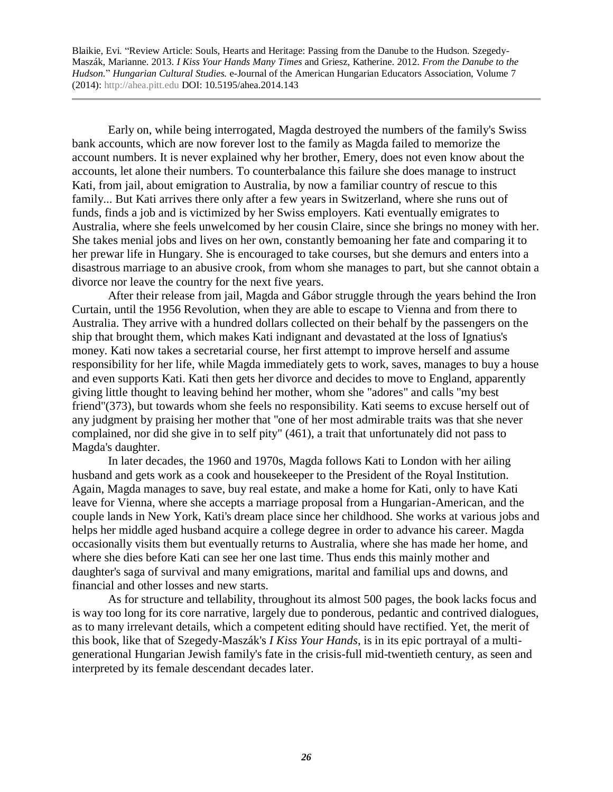Early on, while being interrogated, Magda destroyed the numbers of the family's Swiss bank accounts, which are now forever lost to the family as Magda failed to memorize the account numbers. It is never explained why her brother, Emery, does not even know about the accounts, let alone their numbers. To counterbalance this failure she does manage to instruct Kati, from jail, about emigration to Australia, by now a familiar country of rescue to this family... But Kati arrives there only after a few years in Switzerland, where she runs out of funds, finds a job and is victimized by her Swiss employers. Kati eventually emigrates to Australia, where she feels unwelcomed by her cousin Claire, since she brings no money with her. She takes menial jobs and lives on her own, constantly bemoaning her fate and comparing it to her prewar life in Hungary. She is encouraged to take courses, but she demurs and enters into a disastrous marriage to an abusive crook, from whom she manages to part, but she cannot obtain a divorce nor leave the country for the next five years.

After their release from jail, Magda and Gábor struggle through the years behind the Iron Curtain, until the 1956 Revolution, when they are able to escape to Vienna and from there to Australia. They arrive with a hundred dollars collected on their behalf by the passengers on the ship that brought them, which makes Kati indignant and devastated at the loss of Ignatius's money. Kati now takes a secretarial course, her first attempt to improve herself and assume responsibility for her life, while Magda immediately gets to work, saves, manages to buy a house and even supports Kati. Kati then gets her divorce and decides to move to England, apparently giving little thought to leaving behind her mother, whom she "adores" and calls "my best friend"(373), but towards whom she feels no responsibility. Kati seems to excuse herself out of any judgment by praising her mother that "one of her most admirable traits was that she never complained, nor did she give in to self pity" (461), a trait that unfortunately did not pass to Magda's daughter.

In later decades, the 1960 and 1970s, Magda follows Kati to London with her ailing husband and gets work as a cook and housekeeper to the President of the Royal Institution. Again, Magda manages to save, buy real estate, and make a home for Kati, only to have Kati leave for Vienna, where she accepts a marriage proposal from a Hungarian-American, and the couple lands in New York, Kati's dream place since her childhood. She works at various jobs and helps her middle aged husband acquire a college degree in order to advance his career. Magda occasionally visits them but eventually returns to Australia, where she has made her home, and where she dies before Kati can see her one last time. Thus ends this mainly mother and daughter's saga of survival and many emigrations, marital and familial ups and downs, and financial and other losses and new starts.

As for structure and tellability, throughout its almost 500 pages, the book lacks focus and is way too long for its core narrative, largely due to ponderous, pedantic and contrived dialogues, as to many irrelevant details, which a competent editing should have rectified. Yet, the merit of this book, like that of Szegedy-Maszák's *I Kiss Your Hands*, is in its epic portrayal of a multigenerational Hungarian Jewish family's fate in the crisis-full mid-twentieth century, as seen and interpreted by its female descendant decades later.